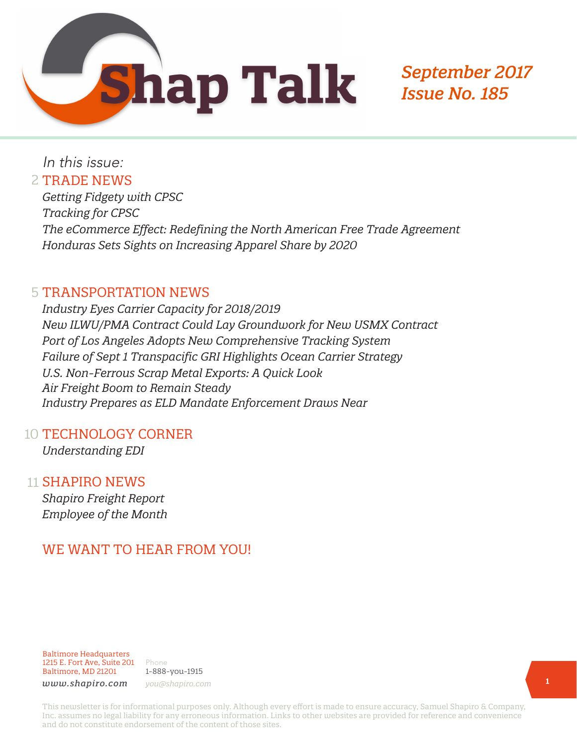

*September 2017 Issue No. 185*

In this issue:

#### 2 TRADE NEWS

*Getting Fidgety with CPSC Tracking for CPSC The eCommerce Effect: Redefining the North American Free Trade Agreement Honduras Sets Sights on Increasing Apparel Share by 2020* 

#### 5 TRANSPORTATION NEWS

*Industry Eyes Carrier Capacity for 2018/2019 New ILWU/PMA Contract Could Lay Groundwork for New USMX Contract Port of Los Angeles Adopts New Comprehensive Tracking System Failure of Sept 1 Transpacific GRI Highlights Ocean Carrier Strategy U.S. Non-Ferrous Scrap Metal Exports: A Quick Look Air Freight Boom to Remain Steady Industry Prepares as ELD Mandate Enforcement Draws Near*

#### 10 TECHNOLOGY CORNER

*Understanding EDI*

#### 11 SHAPIRO NEWS

*Shapiro Freight Report Employee of the Month*

# WE WANT TO HEAR FROM YOU!

Baltimore Headquarters 1215 E. Fort Ave, Suite 201 Baltimore, MD 21201

Phone 1-888-you-1915 *www.shapiro.com you@shapiro.com*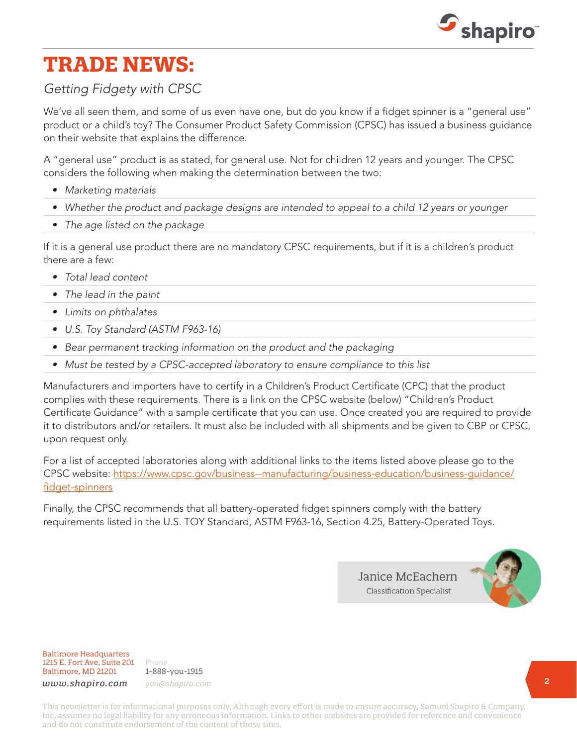

# **TRADE NEWS:**

## *Getting Fidgety with CPSC*

We've all seen them, and some of us even have one, but do you know if a fidget spinner is a "general use" product or a child's toy? The Consumer Product Safety Commission (CPSC) has issued a business guidance on their website that explains the difference.

A "general use" product is as stated, for general use. Not for children 12 years and younger. The CPSC considers the following when making the determination between the two:

- *• Marketing materials*
- *• Whether the product and package designs are intended to appeal to a child 12 years or younger*
- *• The age listed on the package*

If it is a general use product there are no mandatory CPSC requirements, but if it is a children's product there are a few:

- *• Total lead content*
- *• The lead in the paint*
- *• Limits on phthalates*
- *• U.S. Toy Standard (ASTM F963-16)*
- *• Bear permanent tracking information on the product and the packaging*
- Must be tested by a CPSC-accepted laboratory to ensure compliance to this list

Manufacturers and importers have to certify in a Children's Product Certificate (CPC) that the product complies with these requirements. There is a link on the CPSC website (below) "Children's Product Certificate Guidance" with a sample certificate that you can use. Once created you are required to provide it to distributors and/or retailers. It must also be included with all shipments and be given to CBP or CPSC, upon request only.

For a list of accepted laboratories along with additional links to the items listed above please go to the CPSC website: [https://www.cpsc.gov/business--manufacturing/business-education/business-guidance/](https://www.cpsc.gov/business--manufacturing/business-education/business-guidance/fidget-spinners) [fidget-spinners](https://www.cpsc.gov/business--manufacturing/business-education/business-guidance/fidget-spinners)

Finally, the CPSC recommends that all battery-operated fidget spinners comply with the battery requirements listed in the U.S. TOY Standard, ASTM F963-16, Section 4.25, Battery-Operated Toys.

> Janice McEachern **Classification Specialist**



Baltimore Headquarters 1215 E. Fort Ave, Suite 201 Baltimore, MD 21201

Phone 1-888-you-1915 *www.shapiro.com you@shapiro.com*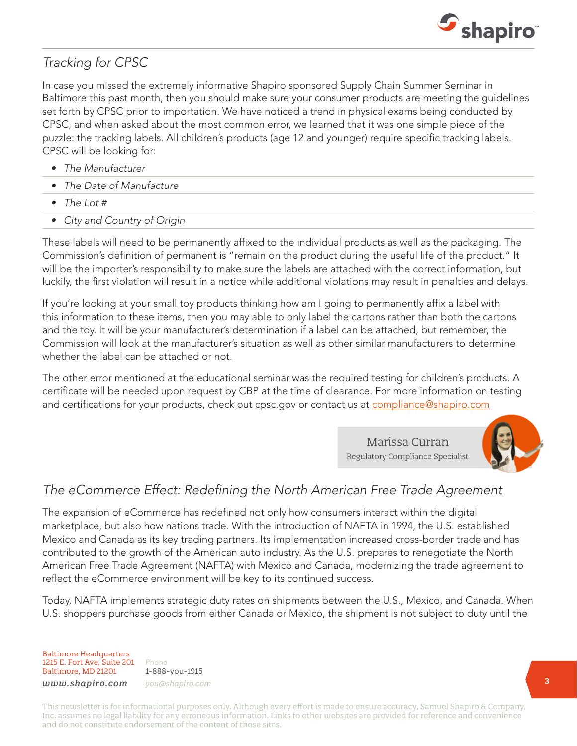

## *Tracking for CPSC*

In case you missed the extremely informative Shapiro sponsored Supply Chain Summer Seminar in Baltimore this past month, then you should make sure your consumer products are meeting the guidelines set forth by CPSC prior to importation. We have noticed a trend in physical exams being conducted by CPSC, and when asked about the most common error, we learned that it was one simple piece of the puzzle: the tracking labels. All children's products (age 12 and younger) require specific tracking labels. CPSC will be looking for:

- *• The Manufacturer*
- *• The Date of Manufacture*
- *• The Lot #*
- *• City and Country of Origin*

These labels will need to be permanently affixed to the individual products as well as the packaging. The Commission's definition of permanent is "remain on the product during the useful life of the product." It will be the importer's responsibility to make sure the labels are attached with the correct information, but luckily, the first violation will result in a notice while additional violations may result in penalties and delays.

If you're looking at your small toy products thinking how am I going to permanently affix a label with this information to these items, then you may able to only label the cartons rather than both the cartons and the toy. It will be your manufacturer's determination if a label can be attached, but remember, the Commission will look at the manufacturer's situation as well as other similar manufacturers to determine whether the label can be attached or not.

The other error mentioned at the educational seminar was the required testing for children's products. A certificate will be needed upon request by CBP at the time of clearance. For more information on testing and certifications for your products, check out cpsc.gov or contact us at [compliance@shapiro.com](mailto:compliance@shapiro.com)

> Marissa Curran Regulatory Compliance Specialist



#### *The eCommerce Effect: Redefining the North American Free Trade Agreement*

The expansion of eCommerce has redefined not only how consumers interact within the digital marketplace, but also how nations trade. With the introduction of NAFTA in 1994, the U.S. established Mexico and Canada as its key trading partners. Its implementation increased cross-border trade and has contributed to the growth of the American auto industry. As the U.S. prepares to renegotiate the North American Free Trade Agreement (NAFTA) with Mexico and Canada, modernizing the trade agreement to reflect the eCommerce environment will be key to its continued success.

Today, NAFTA implements strategic duty rates on shipments between the U.S., Mexico, and Canada. When U.S. shoppers purchase goods from either Canada or Mexico, the shipment is not subject to duty until the

Baltimore Headquarters 1215 E. Fort Ave, Suite 201 Baltimore, MD 21201

Phone 1-888-you-1915 *www.shapiro.com you@shapiro.com*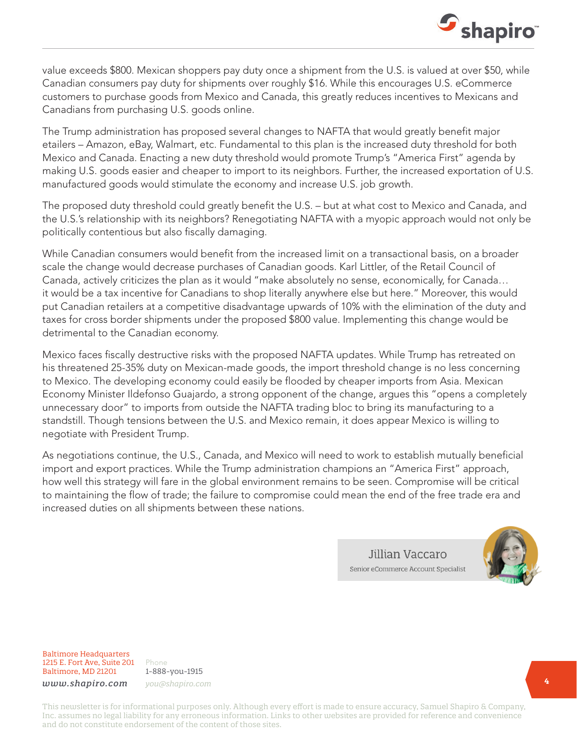

value exceeds \$800. Mexican shoppers pay duty once a shipment from the U.S. is valued at over \$50, while Canadian consumers pay duty for shipments over roughly \$16. While this encourages U.S. eCommerce customers to purchase goods from Mexico and Canada, this greatly reduces incentives to Mexicans and Canadians from purchasing U.S. goods online.

The Trump administration has proposed several changes to NAFTA that would greatly benefit major etailers – Amazon, eBay, Walmart, etc. Fundamental to this plan is the increased duty threshold for both Mexico and Canada. Enacting a new duty threshold would promote Trump's "America First" agenda by making U.S. goods easier and cheaper to import to its neighbors. Further, the increased exportation of U.S. manufactured goods would stimulate the economy and increase U.S. job growth.

The proposed duty threshold could greatly benefit the U.S. – but at what cost to Mexico and Canada, and the U.S.'s relationship with its neighbors? Renegotiating NAFTA with a myopic approach would not only be politically contentious but also fiscally damaging.

While Canadian consumers would benefit from the increased limit on a transactional basis, on a broader scale the change would decrease purchases of Canadian goods. Karl Littler, of the Retail Council of Canada, actively criticizes the plan as it would "make absolutely no sense, economically, for Canada… it would be a tax incentive for Canadians to shop literally anywhere else but here." Moreover, this would put Canadian retailers at a competitive disadvantage upwards of 10% with the elimination of the duty and taxes for cross border shipments under the proposed \$800 value. Implementing this change would be detrimental to the Canadian economy.

Mexico faces fiscally destructive risks with the proposed NAFTA updates. While Trump has retreated on his threatened 25-35% duty on Mexican-made goods, the import threshold change is no less concerning to Mexico. The developing economy could easily be flooded by cheaper imports from Asia. Mexican Economy Minister Ildefonso Guajardo, a strong opponent of the change, argues this "opens a completely unnecessary door" to imports from outside the NAFTA trading bloc to bring its manufacturing to a standstill. Though tensions between the U.S. and Mexico remain, it does appear Mexico is willing to negotiate with President Trump.

As negotiations continue, the U.S., Canada, and Mexico will need to work to establish mutually beneficial import and export practices. While the Trump administration champions an "America First" approach, how well this strategy will fare in the global environment remains to be seen. Compromise will be critical to maintaining the flow of trade; the failure to compromise could mean the end of the free trade era and increased duties on all shipments between these nations.

> Jillian Vaccaro Senior eCommerce Account Specialist



Baltimore Headquarters 1215 E. Fort Ave, Suite 201 Baltimore, MD 21201

Phone 1-888-you-1915 *www.shapiro.com you@shapiro.com*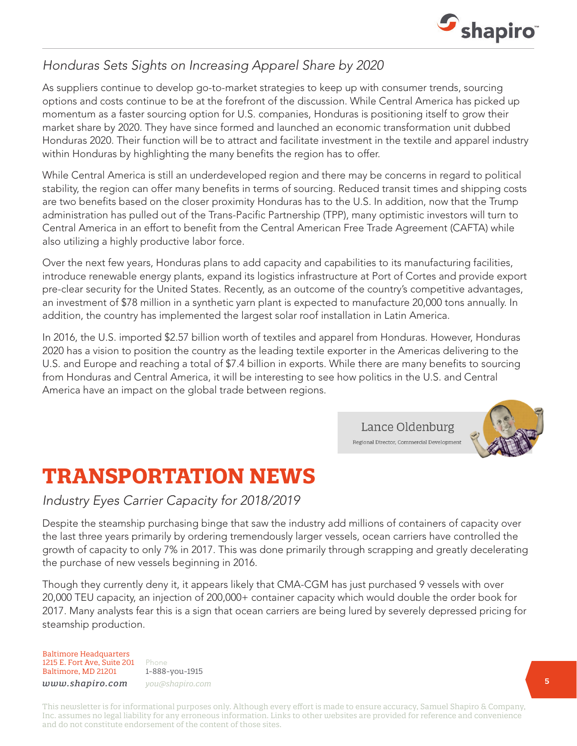

# *Honduras Sets Sights on Increasing Apparel Share by 2020*

As suppliers continue to develop go-to-market strategies to keep up with consumer trends, sourcing options and costs continue to be at the forefront of the discussion. While Central America has picked up momentum as a faster sourcing option for U.S. companies, Honduras is positioning itself to grow their market share by 2020. They have since formed and launched an economic transformation unit dubbed Honduras 2020. Their function will be to attract and facilitate investment in the textile and apparel industry within Honduras by highlighting the many benefits the region has to offer.

While Central America is still an underdeveloped region and there may be concerns in regard to political stability, the region can offer many benefits in terms of sourcing. Reduced transit times and shipping costs are two benefits based on the closer proximity Honduras has to the U.S. In addition, now that the Trump administration has pulled out of the Trans-Pacific Partnership (TPP), many optimistic investors will turn to Central America in an effort to benefit from the Central American Free Trade Agreement (CAFTA) while also utilizing a highly productive labor force.

Over the next few years, Honduras plans to add capacity and capabilities to its manufacturing facilities, introduce renewable energy plants, expand its logistics infrastructure at Port of Cortes and provide export pre-clear security for the United States. Recently, as an outcome of the country's competitive advantages, an investment of \$78 million in a synthetic yarn plant is expected to manufacture 20,000 tons annually. In addition, the country has implemented the largest solar roof installation in Latin America.

In 2016, the U.S. imported \$2.57 billion worth of textiles and apparel from Honduras. However, Honduras 2020 has a vision to position the country as the leading textile exporter in the Americas delivering to the U.S. and Europe and reaching a total of \$7.4 billion in exports. While there are many benefits to sourcing from Honduras and Central America, it will be interesting to see how politics in the U.S. and Central America have an impact on the global trade between regions.

> Lance Oldenburg Regional Director, Commercial Development



# **TRANSPORTATION NEWS**

#### *Industry Eyes Carrier Capacity for 2018/2019*

Despite the steamship purchasing binge that saw the industry add millions of containers of capacity over the last three years primarily by ordering tremendously larger vessels, ocean carriers have controlled the growth of capacity to only 7% in 2017. This was done primarily through scrapping and greatly decelerating the purchase of new vessels beginning in 2016.

Though they currently deny it, it appears likely that CMA-CGM has just purchased 9 vessels with over 20,000 TEU capacity, an injection of 200,000+ container capacity which would double the order book for 2017. Many analysts fear this is a sign that ocean carriers are being lured by severely depressed pricing for steamship production.

#### Baltimore Headquarters 1215 E. Fort Ave, Suite 201 Baltimore, MD 21201

Phone 1-888-you-1915 *www.shapiro.com you@shapiro.com*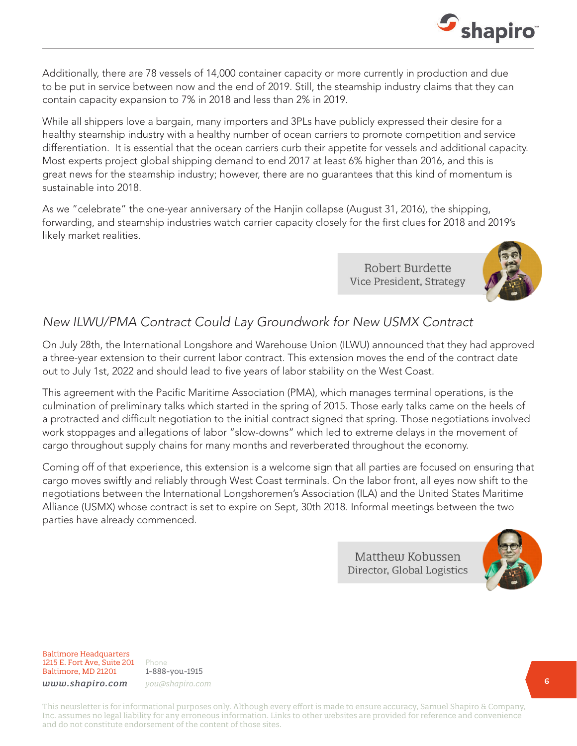Additionally, there are 78 vessels of 14,000 container capacity or more currently in production and due to be put in service between now and the end of 2019. Still, the steamship industry claims that they can contain capacity expansion to 7% in 2018 and less than 2% in 2019.

While all shippers love a bargain, many importers and 3PLs have publicly expressed their desire for a healthy steamship industry with a healthy number of ocean carriers to promote competition and service differentiation. It is essential that the ocean carriers curb their appetite for vessels and additional capacity. Most experts project global shipping demand to end 2017 at least 6% higher than 2016, and this is great news for the steamship industry; however, there are no guarantees that this kind of momentum is sustainable into 2018.

As we "celebrate" the one-year anniversary of the Hanjin collapse (August 31, 2016), the shipping, forwarding, and steamship industries watch carrier capacity closely for the first clues for 2018 and 2019's likely market realities.

> Robert Burdette Vice President, Strategy



 $S_{\text{shapiro}}$ 

## *New ILWU/PMA Contract Could Lay Groundwork for New USMX Contract*

On July 28th, the International Longshore and Warehouse Union (ILWU) announced that they had approved a three-year extension to their current labor contract. This extension moves the end of the contract date out to July 1st, 2022 and should lead to five years of labor stability on the West Coast.

This agreement with the Pacific Maritime Association (PMA), which manages terminal operations, is the culmination of preliminary talks which started in the spring of 2015. Those early talks came on the heels of a protracted and difficult negotiation to the initial contract signed that spring. Those negotiations involved work stoppages and allegations of labor "slow-downs" which led to extreme delays in the movement of cargo throughout supply chains for many months and reverberated throughout the economy.

Coming off of that experience, this extension is a welcome sign that all parties are focused on ensuring that cargo moves swiftly and reliably through West Coast terminals. On the labor front, all eyes now shift to the negotiations between the International Longshoremen's Association (ILA) and the United States Maritime Alliance (USMX) whose contract is set to expire on Sept, 30th 2018. Informal meetings between the two parties have already commenced.

> Matthew Kobussen Director, Global Logistics



Baltimore Headquarters 1215 E. Fort Ave, Suite 201 Baltimore, MD 21201

Phone 1-888-you-1915 *www.shapiro.com you@shapiro.com*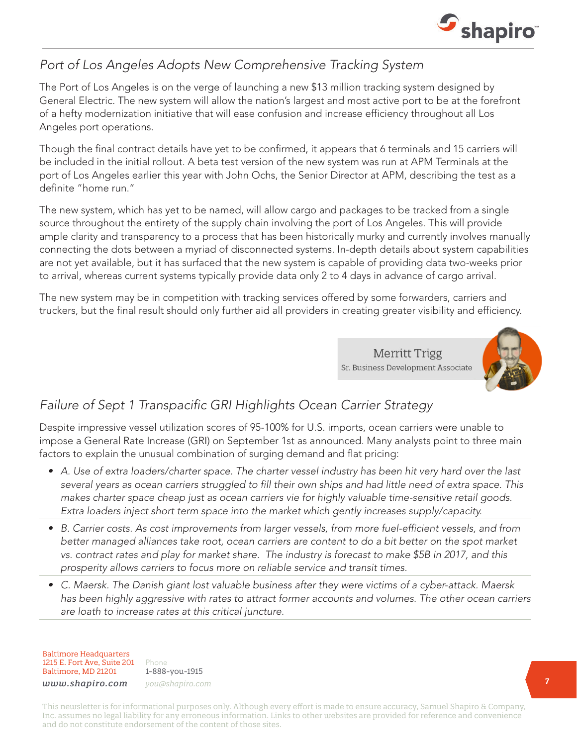

### *Port of Los Angeles Adopts New Comprehensive Tracking System*

The Port of Los Angeles is on the verge of launching a new \$13 million tracking system designed by General Electric. The new system will allow the nation's largest and most active port to be at the forefront of a hefty modernization initiative that will ease confusion and increase efficiency throughout all Los Angeles port operations.

Though the final contract details have yet to be confirmed, it appears that 6 terminals and 15 carriers will be included in the initial rollout. A beta test version of the new system was run at APM Terminals at the port of Los Angeles earlier this year with John Ochs, the Senior Director at APM, describing the test as a definite "home run."

The new system, which has yet to be named, will allow cargo and packages to be tracked from a single source throughout the entirety of the supply chain involving the port of Los Angeles. This will provide ample clarity and transparency to a process that has been historically murky and currently involves manually connecting the dots between a myriad of disconnected systems. In-depth details about system capabilities are not yet available, but it has surfaced that the new system is capable of providing data two-weeks prior to arrival, whereas current systems typically provide data only 2 to 4 days in advance of cargo arrival.

The new system may be in competition with tracking services offered by some forwarders, carriers and truckers, but the final result should only further aid all providers in creating greater visibility and efficiency.

> **Merritt Trigg** Sr. Business Development Associate



# *Failure of Sept 1 Transpacific GRI Highlights Ocean Carrier Strategy*

Despite impressive vessel utilization scores of 95-100% for U.S. imports, ocean carriers were unable to impose a General Rate Increase (GRI) on September 1st as announced. Many analysts point to three main factors to explain the unusual combination of surging demand and flat pricing:

- *• A. Use of extra loaders/charter space. The charter vessel industry has been hit very hard over the last several years as ocean carriers struggled to fill their own ships and had little need of extra space. This makes charter space cheap just as ocean carriers vie for highly valuable time-sensitive retail goods. Extra loaders inject short term space into the market which gently increases supply/capacity.*
- *• B. Carrier costs. As cost improvements from larger vessels, from more fuel-efficient vessels, and from better managed alliances take root, ocean carriers are content to do a bit better on the spot market vs. contract rates and play for market share. The industry is forecast to make \$5B in 2017, and this prosperity allows carriers to focus more on reliable service and transit times.*
- *• C. Maersk. The Danish giant lost valuable business after they were victims of a cyber-attack. Maersk has been highly aggressive with rates to attract former accounts and volumes. The other ocean carriers are loath to increase rates at this critical juncture.*

Baltimore Headquarters 1215 E. Fort Ave, Suite 201 Baltimore, MD 21201

Phone 1-888-you-1915 *www.shapiro.com you@shapiro.com*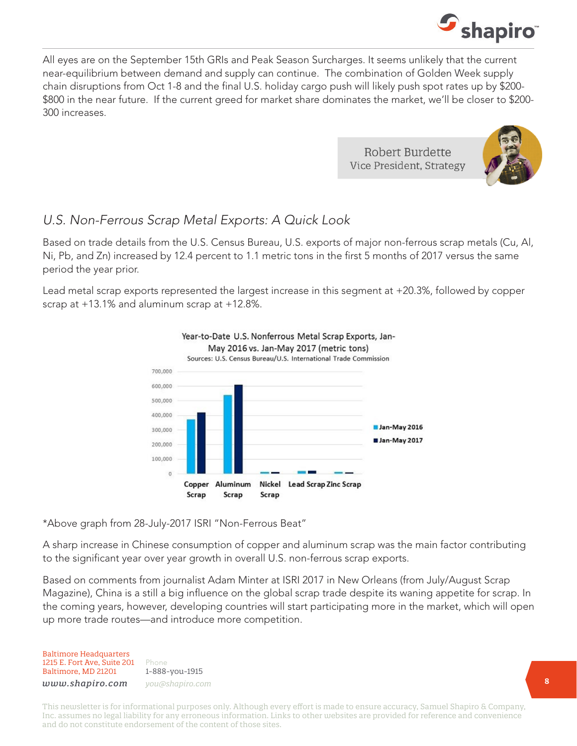

All eyes are on the September 15th GRIs and Peak Season Surcharges. It seems unlikely that the current near-equilibrium between demand and supply can continue. The combination of Golden Week supply chain disruptions from Oct 1-8 and the final U.S. holiday cargo push will likely push spot rates up by \$200- \$800 in the near future. If the current greed for market share dominates the market, we'll be closer to \$200- 300 increases.

> Robert Burdette Vice President, Strategy



### *U.S. Non-Ferrous Scrap Metal Exports: A Quick Look*

Based on trade details from the U.S. Census Bureau, U.S. exports of major non-ferrous scrap metals (Cu, Al, Ni, Pb, and Zn) increased by 12.4 percent to 1.1 metric tons in the first 5 months of 2017 versus the same period the year prior.

Lead metal scrap exports represented the largest increase in this segment at +20.3%, followed by copper scrap at +13.1% and aluminum scrap at +12.8%.



\*Above graph from 28-July-2017 ISRI "Non-Ferrous Beat"

A sharp increase in Chinese consumption of copper and aluminum scrap was the main factor contributing to the significant year over year growth in overall U.S. non-ferrous scrap exports.

Based on comments from journalist Adam Minter at ISRI 2017 in New Orleans (from July/August Scrap Magazine), China is a still a big influence on the global scrap trade despite its waning appetite for scrap. In the coming years, however, developing countries will start participating more in the market, which will open up more trade routes—and introduce more competition.

Baltimore Headquarters 1215 E. Fort Ave, Suite 201 Baltimore, MD 21201

Phone 1-888-you-1915 *www.shapiro.com you@shapiro.com*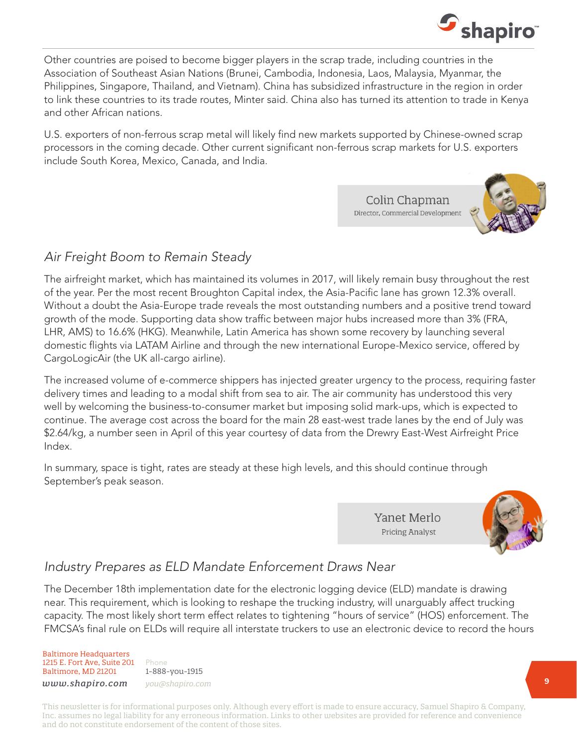

Other countries are poised to become bigger players in the scrap trade, including countries in the Association of Southeast Asian Nations (Brunei, Cambodia, Indonesia, Laos, Malaysia, Myanmar, the Philippines, Singapore, Thailand, and Vietnam). China has subsidized infrastructure in the region in order to link these countries to its trade routes, Minter said. China also has turned its attention to trade in Kenya and other African nations.

U.S. exporters of non-ferrous scrap metal will likely find new markets supported by Chinese-owned scrap processors in the coming decade. Other current significant non-ferrous scrap markets for U.S. exporters include South Korea, Mexico, Canada, and India.

> Colin Chapman Director, Commercial Development



#### *Air Freight Boom to Remain Steady*

The airfreight market, which has maintained its volumes in 2017, will likely remain busy throughout the rest of the year. Per the most recent Broughton Capital index, the Asia-Pacific lane has grown 12.3% overall. Without a doubt the Asia-Europe trade reveals the most outstanding numbers and a positive trend toward growth of the mode. Supporting data show traffic between major hubs increased more than 3% (FRA, LHR, AMS) to 16.6% (HKG). Meanwhile, Latin America has shown some recovery by launching several domestic flights via LATAM Airline and through the new international Europe-Mexico service, offered by CargoLogicAir (the UK all-cargo airline).

The increased volume of e-commerce shippers has injected greater urgency to the process, requiring faster delivery times and leading to a modal shift from sea to air. The air community has understood this very well by welcoming the business-to-consumer market but imposing solid mark-ups, which is expected to continue. The average cost across the board for the main 28 east-west trade lanes by the end of July was \$2.64/kg, a number seen in April of this year courtesy of data from the Drewry East-West Airfreight Price Index.

In summary, space is tight, rates are steady at these high levels, and this should continue through September's peak season.

> Yanet Merlo **Pricing Analyst**



# *Industry Prepares as ELD Mandate Enforcement Draws Near*

The December 18th implementation date for the electronic logging device (ELD) mandate is drawing near. This requirement, which is looking to reshape the trucking industry, will unarguably affect trucking capacity. The most likely short term effect relates to tightening "hours of service" (HOS) enforcement. The FMCSA's final rule on ELDs will require all interstate truckers to use an electronic device to record the hours

#### Baltimore Headquarters 1215 E. Fort Ave, Suite 201 Baltimore, MD 21201

Phone 1-888-you-1915 *www.shapiro.com you@shapiro.com*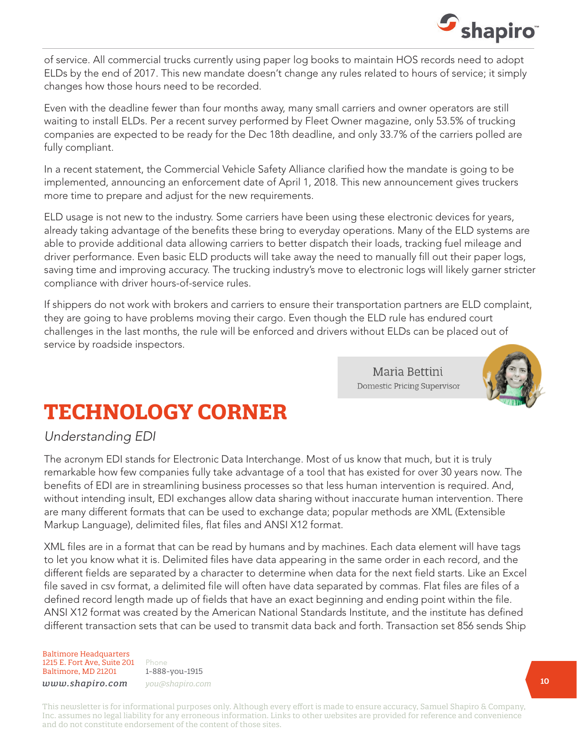

of service. All commercial trucks currently using paper log books to maintain HOS records need to adopt ELDs by the end of 2017. This new mandate doesn't change any rules related to hours of service; it simply changes how those hours need to be recorded.

Even with the deadline fewer than four months away, many small carriers and owner operators are still waiting to install ELDs. Per a recent survey performed by Fleet Owner magazine, only 53.5% of trucking companies are expected to be ready for the Dec 18th deadline, and only 33.7% of the carriers polled are fully compliant.

In a recent statement, the Commercial Vehicle Safety Alliance clarified how the mandate is going to be implemented, announcing an enforcement date of April 1, 2018. This new announcement gives truckers more time to prepare and adjust for the new requirements.

ELD usage is not new to the industry. Some carriers have been using these electronic devices for years, already taking advantage of the benefits these bring to everyday operations. Many of the ELD systems are able to provide additional data allowing carriers to better dispatch their loads, tracking fuel mileage and driver performance. Even basic ELD products will take away the need to manually fill out their paper logs, saving time and improving accuracy. The trucking industry's move to electronic logs will likely garner stricter compliance with driver hours-of-service rules.

If shippers do not work with brokers and carriers to ensure their transportation partners are ELD complaint, they are going to have problems moving their cargo. Even though the ELD rule has endured court challenges in the last months, the rule will be enforced and drivers without ELDs can be placed out of service by roadside inspectors.

> Maria Bettini Domestic Pricing Supervisor



# **TECHNOLOGY CORNER**

# *Understanding EDI*

The acronym EDI stands for Electronic Data Interchange. Most of us know that much, but it is truly remarkable how few companies fully take advantage of a tool that has existed for over 30 years now. The benefits of EDI are in streamlining business processes so that less human intervention is required. And, without intending insult, EDI exchanges allow data sharing without inaccurate human intervention. There are many different formats that can be used to exchange data; popular methods are XML (Extensible Markup Language), delimited files, flat files and ANSI X12 format.

XML files are in a format that can be read by humans and by machines. Each data element will have tags to let you know what it is. Delimited files have data appearing in the same order in each record, and the different fields are separated by a character to determine when data for the next field starts. Like an Excel file saved in csv format, a delimited file will often have data separated by commas. Flat files are files of a defined record length made up of fields that have an exact beginning and ending point within the file. ANSI X12 format was created by the American National Standards Institute, and the institute has defined different transaction sets that can be used to transmit data back and forth. Transaction set 856 sends Ship

Baltimore Headquarters 1215 E. Fort Ave, Suite 201 Baltimore, MD 21201

Phone 1-888-you-1915 *www.shapiro.com you@shapiro.com*